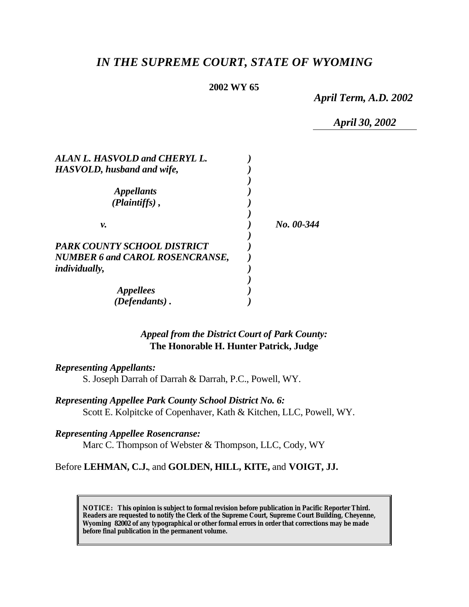# *IN THE SUPREME COURT, STATE OF WYOMING*

### **2002 WY 65**

*April Term, A.D. 2002*

*April 30, 2002*

| ALAN L. HASVOLD and CHERYL L.          |            |
|----------------------------------------|------------|
| HASVOLD, husband and wife,             |            |
|                                        |            |
| <i>Appellants</i>                      |            |
| (Plaintiffs),                          |            |
|                                        |            |
| ν.                                     | No. 00-344 |
|                                        |            |
| PARK COUNTY SCHOOL DISTRICT            |            |
| <b>NUMBER 6 and CAROL ROSENCRANSE,</b> |            |
| <i>individually,</i>                   |            |
|                                        |            |
| <i>Appellees</i>                       |            |
| (Defendants).                          |            |

# *Appeal from the District Court of Park County:* **The Honorable H. Hunter Patrick, Judge**

*Representing Appellants:*

S. Joseph Darrah of Darrah & Darrah, P.C., Powell, WY.

*Representing Appellee Park County School District No. 6:* Scott E. Kolpitcke of Copenhaver, Kath & Kitchen, LLC, Powell, WY.

*Representing Appellee Rosencranse:*

Marc C. Thompson of Webster & Thompson, LLC, Cody, WY

Before **LEHMAN, C.J.**, and **GOLDEN, HILL, KITE,** and **VOIGT, JJ.**

**NOTICE:** *This opinion is subject to formal revision before publication in Pacific Reporter Third. Readers are requested to notify the Clerk of the Supreme Court, Supreme Court Building, Cheyenne, Wyoming 82002 of any typographical or other formal errors in order that corrections may be made before final publication in the permanent volume.*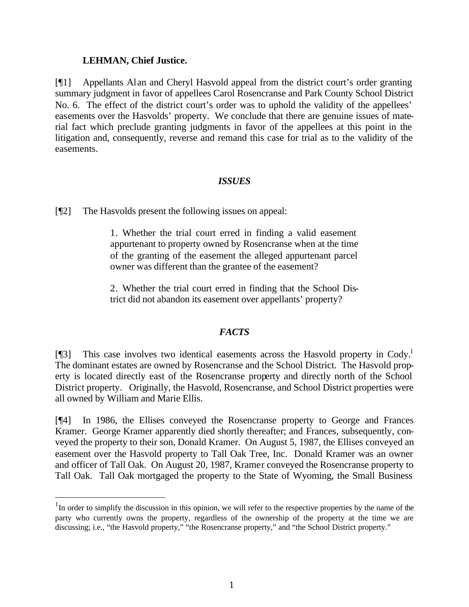## **LEHMAN, Chief Justice.**

l

[¶1] Appellants Alan and Cheryl Hasvold appeal from the district court's order granting summary judgment in favor of appellees Carol Rosencranse and Park County School District No. 6. The effect of the district court's order was to uphold the validity of the appellees' easements over the Hasvolds' property. We conclude that there are genuine issues of material fact which preclude granting judgments in favor of the appellees at this point in the litigation and, consequently, reverse and remand this case for trial as to the validity of the easements.

## *ISSUES*

[¶2] The Hasvolds present the following issues on appeal:

1. Whether the trial court erred in finding a valid easement appurtenant to property owned by Rosencranse when at the time of the granting of the easement the alleged appurtenant parcel owner was different than the grantee of the easement?

2. Whether the trial court erred in finding that the School District did not abandon its easement over appellants' property?

# *FACTS*

[ $\llbracket$ 3] This case involves two identical easements across the Hasvold property in Cody.<sup>1</sup> The dominant estates are owned by Rosencranse and the School District. The Hasvold property is located directly east of the Rosencranse property and directly north of the School District property. Originally, the Hasvold, Rosencranse, and School District properties were all owned by William and Marie Ellis.

[¶4] In 1986, the Ellises conveyed the Rosencranse property to George and Frances Kramer. George Kramer apparently died shortly thereafter; and Frances, subsequently, conveyed the property to their son, Donald Kramer. On August 5, 1987, the Ellises conveyed an easement over the Hasvold property to Tall Oak Tree, Inc. Donald Kramer was an owner and officer of Tall Oak. On August 20, 1987, Kramer conveyed the Rosencranse property to Tall Oak. Tall Oak mortgaged the property to the State of Wyoming, the Small Business

 $1$ In order to simplify the discussion in this opinion, we will refer to the respective properties by the name of the party who currently owns the property, regardless of the ownership of the property at the time we are discussing; i.e., "the Hasvold property," "the Rosencranse property," and "the School District property."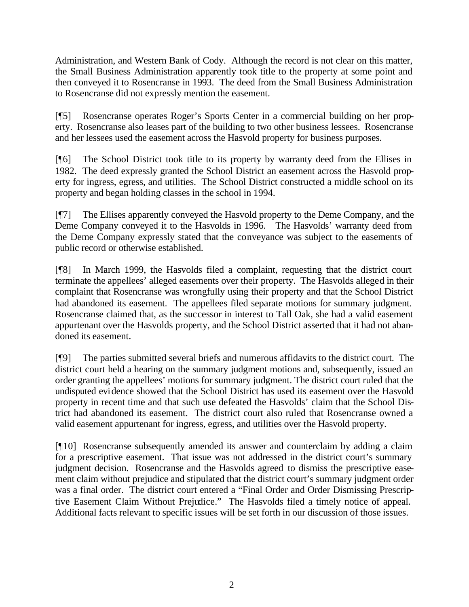Administration, and Western Bank of Cody. Although the record is not clear on this matter, the Small Business Administration apparently took title to the property at some point and then conveyed it to Rosencranse in 1993. The deed from the Small Business Administration to Rosencranse did not expressly mention the easement.

[¶5] Rosencranse operates Roger's Sports Center in a commercial building on her property. Rosencranse also leases part of the building to two other business lessees. Rosencranse and her lessees used the easement across the Hasvold property for business purposes.

[¶6] The School District took title to its property by warranty deed from the Ellises in 1982. The deed expressly granted the School District an easement across the Hasvold property for ingress, egress, and utilities. The School District constructed a middle school on its property and began holding classes in the school in 1994.

[¶7] The Ellises apparently conveyed the Hasvold property to the Deme Company, and the Deme Company conveyed it to the Hasvolds in 1996. The Hasvolds' warranty deed from the Deme Company expressly stated that the conveyance was subject to the easements of public record or otherwise established.

[¶8] In March 1999, the Hasvolds filed a complaint, requesting that the district court terminate the appellees' alleged easements over their property. The Hasvolds alleged in their complaint that Rosencranse was wrongfully using their property and that the School District had abandoned its easement. The appellees filed separate motions for summary judgment. Rosencranse claimed that, as the successor in interest to Tall Oak, she had a valid easement appurtenant over the Hasvolds property, and the School District asserted that it had not abandoned its easement.

[¶9] The parties submitted several briefs and numerous affidavits to the district court. The district court held a hearing on the summary judgment motions and, subsequently, issued an order granting the appellees' motions for summary judgment. The district court ruled that the undisputed evidence showed that the School District has used its easement over the Hasvold property in recent time and that such use defeated the Hasvolds' claim that the School District had abandoned its easement. The district court also ruled that Rosencranse owned a valid easement appurtenant for ingress, egress, and utilities over the Hasvold property.

[¶10] Rosencranse subsequently amended its answer and counterclaim by adding a claim for a prescriptive easement. That issue was not addressed in the district court's summary judgment decision. Rosencranse and the Hasvolds agreed to dismiss the prescriptive easement claim without prejudice and stipulated that the district court's summary judgment order was a final order. The district court entered a "Final Order and Order Dismissing Prescriptive Easement Claim Without Prejudice." The Hasvolds filed a timely notice of appeal. Additional facts relevant to specific issues will be set forth in our discussion of those issues.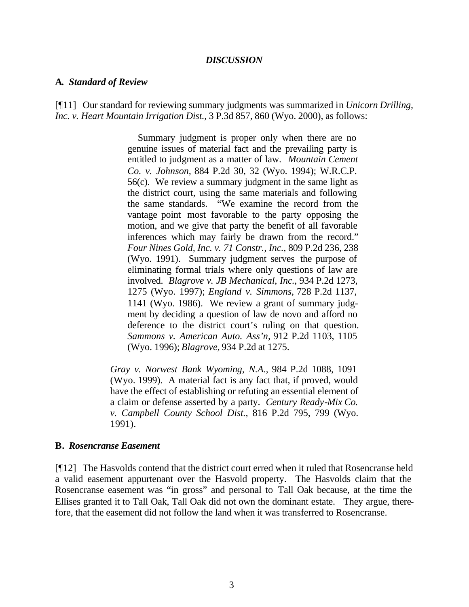#### *DISCUSSION*

#### **A.** *Standard of Review*

[¶11] Our standard for reviewing summary judgments was summarized in *Unicorn Drilling, Inc. v. Heart Mountain Irrigation Dist.,* 3 P.3d 857, 860 (Wyo. 2000), as follows:

> Summary judgment is proper only when there are no genuine issues of material fact and the prevailing party is entitled to judgment as a matter of law. *Mountain Cement Co. v. Johnson,* 884 P.2d 30, 32 (Wyo. 1994); W.R.C.P. 56(c). We review a summary judgment in the same light as the district court, using the same materials and following the same standards. "We examine the record from the vantage point most favorable to the party opposing the motion, and we give that party the benefit of all favorable inferences which may fairly be drawn from the record." *Four Nines Gold, Inc. v. 71 Constr., Inc.,* 809 P.2d 236, 238 (Wyo. 1991). Summary judgment serves the purpose of eliminating formal trials where only questions of law are involved. *Blagrove v. JB Mechanical, Inc.,* 934 P.2d 1273, 1275 (Wyo. 1997); *England v. Simmons,* 728 P.2d 1137, 1141 (Wyo. 1986). We review a grant of summary judgment by deciding a question of law de novo and afford no deference to the district court's ruling on that question. *Sammons v. American Auto. Ass'n,* 912 P.2d 1103, 1105 (Wyo. 1996); *Blagrove,* 934 P.2d at 1275.

*Gray v. Norwest Bank Wyoming, N.A.,* 984 P.2d 1088, 1091 (Wyo. 1999). A material fact is any fact that, if proved, would have the effect of establishing or refuting an essential element of a claim or defense asserted by a party. *Century Ready-Mix Co. v. Campbell County School Dist.,* 816 P.2d 795, 799 (Wyo. 1991).

#### **B.** *Rosencranse Easement*

[¶12] The Hasvolds contend that the district court erred when it ruled that Rosencranse held a valid easement appurtenant over the Hasvold property. The Hasvolds claim that the Rosencranse easement was "in gross" and personal to Tall Oak because, at the time the Ellises granted it to Tall Oak, Tall Oak did not own the dominant estate. They argue, therefore, that the easement did not follow the land when it was transferred to Rosencranse.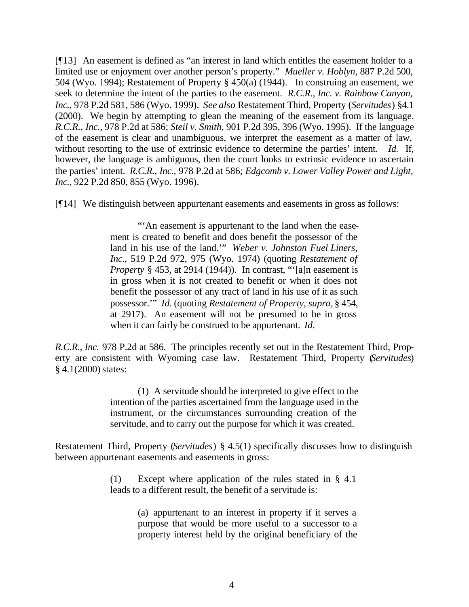[¶13] An easement is defined as "an interest in land which entitles the easement holder to a limited use or enjoyment over another person's property." *Mueller v. Hoblyn,* 887 P.2d 500, 504 (Wyo. 1994); Restatement of Property § 450(a) (1944). In construing an easement, we seek to determine the intent of the parties to the easement. *R.C.R., Inc. v. Rainbow Canyon, Inc.,* 978 P.2d 581, 586 (Wyo. 1999). *See also* Restatement Third, Property (*Servitudes*) §4.1 (2000). We begin by attempting to glean the meaning of the easement from its language. *R.C.R., Inc.,* 978 P.2d at 586; *Steil v. Smith,* 901 P.2d 395, 396 (Wyo. 1995). If the language of the easement is clear and unambiguous, we interpret the easement as a matter of law, without resorting to the use of extrinsic evidence to determine the parties' intent. *Id.* If, however, the language is ambiguous, then the court looks to extrinsic evidence to ascertain the parties' intent. *R.C.R., Inc.,* 978 P.2d at 586; *Edgcomb v. Lower Valley Power and Light, Inc.*, 922 P.2d 850, 855 (Wyo. 1996).

[¶14] We distinguish between appurtenant easements and easements in gross as follows:

"An easement is appurtenant to the land when the easement is created to benefit and does benefit the possessor of the land in his use of the land.'" *Weber v. Johnston Fuel Liners, Inc.,* 519 P.2d 972, 975 (Wyo. 1974) (quoting *Restatement of Property* § 453, at 2914 (1944)). In contrast, "'[a]n easement is in gross when it is not created to benefit or when it does not benefit the possessor of any tract of land in his use of it as such possessor.'" *Id.* (quoting *Restatement of Property, supra,* § 454, at 2917). An easement will not be presumed to be in gross when it can fairly be construed to be appurtenant. *Id.*

*R.C.R., Inc.* 978 P.2d at 586. The principles recently set out in the Restatement Third, Property are consistent with Wyoming case law. Restatement Third, Property (*Servitudes*) § 4.1(2000) states:

> (1) A servitude should be interpreted to give effect to the intention of the parties ascertained from the language used in the instrument, or the circumstances surrounding creation of the servitude, and to carry out the purpose for which it was created.

Restatement Third, Property (*Servitudes*) § 4.5(1) specifically discusses how to distinguish between appurtenant easements and easements in gross:

> (1) Except where application of the rules stated in § 4.1 leads to a different result, the benefit of a servitude is:

> > (a) appurtenant to an interest in property if it serves a purpose that would be more useful to a successor to a property interest held by the original beneficiary of the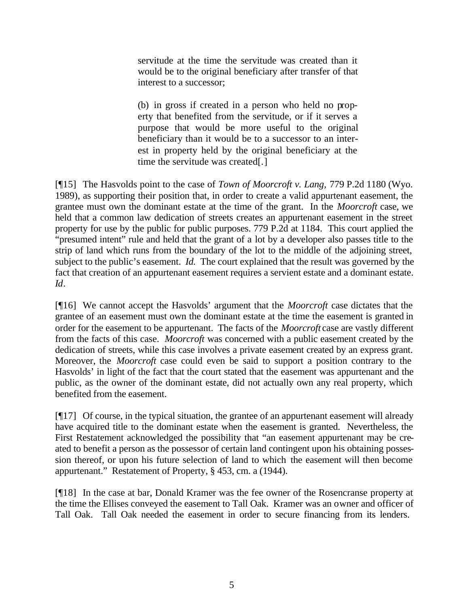servitude at the time the servitude was created than it would be to the original beneficiary after transfer of that interest to a successor;

(b) in gross if created in a person who held no property that benefited from the servitude, or if it serves a purpose that would be more useful to the original beneficiary than it would be to a successor to an interest in property held by the original beneficiary at the time the servitude was created[.]

[¶15] The Hasvolds point to the case of *Town of Moorcroft v. Lang,* 779 P.2d 1180 (Wyo. 1989), as supporting their position that, in order to create a valid appurtenant easement, the grantee must own the dominant estate at the time of the grant. In the *Moorcroft* case, we held that a common law dedication of streets creates an appurtenant easement in the street property for use by the public for public purposes. 779 P.2d at 1184. This court applied the "presumed intent" rule and held that the grant of a lot by a developer also passes title to the strip of land which runs from the boundary of the lot to the middle of the adjoining street, subject to the public's easement. *Id.* The court explained that the result was governed by the fact that creation of an appurtenant easement requires a servient estate and a dominant estate. *Id*.

[¶16] We cannot accept the Hasvolds' argument that the *Moorcroft* case dictates that the grantee of an easement must own the dominant estate at the time the easement is granted in order for the easement to be appurtenant. The facts of the *Moorcroft* case are vastly different from the facts of this case. *Moorcroft* was concerned with a public easement created by the dedication of streets, while this case involves a private easement created by an express grant. Moreover, the *Moorcroft* case could even be said to support a position contrary to the Hasvolds' in light of the fact that the court stated that the easement was appurtenant and the public, as the owner of the dominant estate, did not actually own any real property, which benefited from the easement.

[¶17] Of course, in the typical situation, the grantee of an appurtenant easement will already have acquired title to the dominant estate when the easement is granted. Nevertheless, the First Restatement acknowledged the possibility that "an easement appurtenant may be created to benefit a person as the possessor of certain land contingent upon his obtaining possession thereof, or upon his future selection of land to which the easement will then become appurtenant." Restatement of Property, § 453, cm. a (1944).

[¶18] In the case at bar, Donald Kramer was the fee owner of the Rosencranse property at the time the Ellises conveyed the easement to Tall Oak. Kramer was an owner and officer of Tall Oak. Tall Oak needed the easement in order to secure financing from its lenders.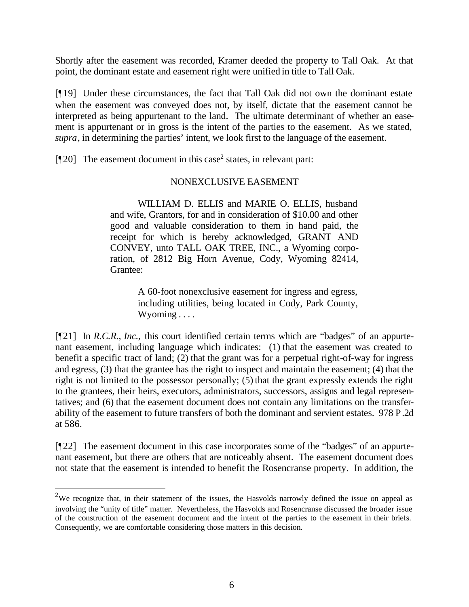Shortly after the easement was recorded, Kramer deeded the property to Tall Oak. At that point, the dominant estate and easement right were unified in title to Tall Oak.

[¶19] Under these circumstances, the fact that Tall Oak did not own the dominant estate when the easement was conveyed does not, by itself, dictate that the easement cannot be interpreted as being appurtenant to the land. The ultimate determinant of whether an easement is appurtenant or in gross is the intent of the parties to the easement. As we stated, *supra*, in determining the parties' intent, we look first to the language of the easement.

[ $[$ [20] The easement document in this case<sup>2</sup> states, in relevant part:

# NONEXCLUSIVE EASEMENT

WILLIAM D. ELLIS and MARIE O. ELLIS, husband and wife, Grantors, for and in consideration of \$10.00 and other good and valuable consideration to them in hand paid, the receipt for which is hereby acknowledged, GRANT AND CONVEY, unto TALL OAK TREE, INC., a Wyoming corporation, of 2812 Big Horn Avenue, Cody, Wyoming 82414, Grantee:

> A 60-foot nonexclusive easement for ingress and egress, including utilities, being located in Cody, Park County, Wyoming . . . .

[¶21] In *R.C.R., Inc.,* this court identified certain terms which are "badges" of an appurtenant easement, including language which indicates: (1) that the easement was created to benefit a specific tract of land; (2) that the grant was for a perpetual right-of-way for ingress and egress, (3) that the grantee has the right to inspect and maintain the easement; (4) that the right is not limited to the possessor personally;  $(5)$  that the grant expressly extends the right to the grantees, their heirs, executors, administrators, successors, assigns and legal representatives; and (6) that the easement document does not contain any limitations on the transferability of the easement to future transfers of both the dominant and servient estates. 978 P.2d at 586.

[¶22] The easement document in this case incorporates some of the "badges" of an appurtenant easement, but there are others that are noticeably absent. The easement document does not state that the easement is intended to benefit the Rosencranse property. In addition, the

l

<sup>&</sup>lt;sup>2</sup>We recognize that, in their statement of the issues, the Hasvolds narrowly defined the issue on appeal as involving the "unity of title" matter. Nevertheless, the Hasvolds and Rosencranse discussed the broader issue of the construction of the easement document and the intent of the parties to the easement in their briefs. Consequently, we are comfortable considering those matters in this decision.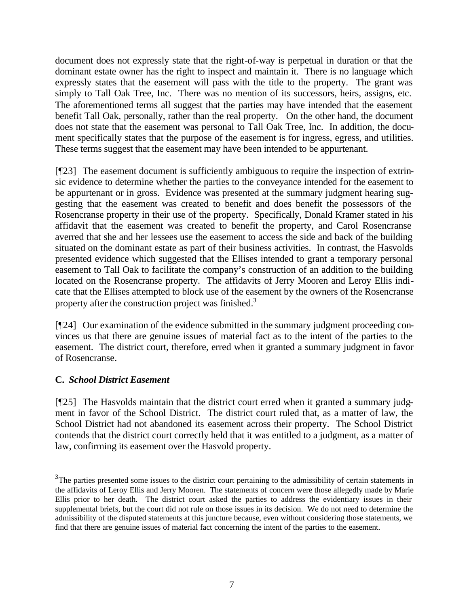document does not expressly state that the right-of-way is perpetual in duration or that the dominant estate owner has the right to inspect and maintain it. There is no language which expressly states that the easement will pass with the title to the property. The grant was simply to Tall Oak Tree, Inc. There was no mention of its successors, heirs, assigns, etc. The aforementioned terms all suggest that the parties may have intended that the easement benefit Tall Oak, personally, rather than the real property. On the other hand, the document does not state that the easement was personal to Tall Oak Tree, Inc. In addition, the document specifically states that the purpose of the easement is for ingress, egress, and utilities. These terms suggest that the easement may have been intended to be appurtenant.

[¶23] The easement document is sufficiently ambiguous to require the inspection of extrinsic evidence to determine whether the parties to the conveyance intended for the easement to be appurtenant or in gross. Evidence was presented at the summary judgment hearing suggesting that the easement was created to benefit and does benefit the possessors of the Rosencranse property in their use of the property. Specifically, Donald Kramer stated in his affidavit that the easement was created to benefit the property, and Carol Rosencranse averred that she and her lessees use the easement to access the side and back of the building situated on the dominant estate as part of their business activities. In contrast, the Hasvolds presented evidence which suggested that the Ellises intended to grant a temporary personal easement to Tall Oak to facilitate the company's construction of an addition to the building located on the Rosencranse property. The affidavits of Jerry Mooren and Leroy Ellis indicate that the Ellises attempted to block use of the easement by the owners of the Rosencranse property after the construction project was finished.<sup>3</sup>

[¶24] Our examination of the evidence submitted in the summary judgment proceeding convinces us that there are genuine issues of material fact as to the intent of the parties to the easement. The district court, therefore, erred when it granted a summary judgment in favor of Rosencranse.

# **C.** *School District Easement*

l

[¶25] The Hasvolds maintain that the district court erred when it granted a summary judgment in favor of the School District. The district court ruled that, as a matter of law, the School District had not abandoned its easement across their property. The School District contends that the district court correctly held that it was entitled to a judgment, as a matter of law, confirming its easement over the Hasvold property.

 $3$ The parties presented some issues to the district court pertaining to the admissibility of certain statements in the affidavits of Leroy Ellis and Jerry Mooren. The statements of concern were those allegedly made by Marie Ellis prior to her death. The district court asked the parties to address the evidentiary issues in their supplemental briefs, but the court did not rule on those issues in its decision. We do not need to determine the admissibility of the disputed statements at this juncture because, even without considering those statements, we find that there are genuine issues of material fact concerning the intent of the parties to the easement.